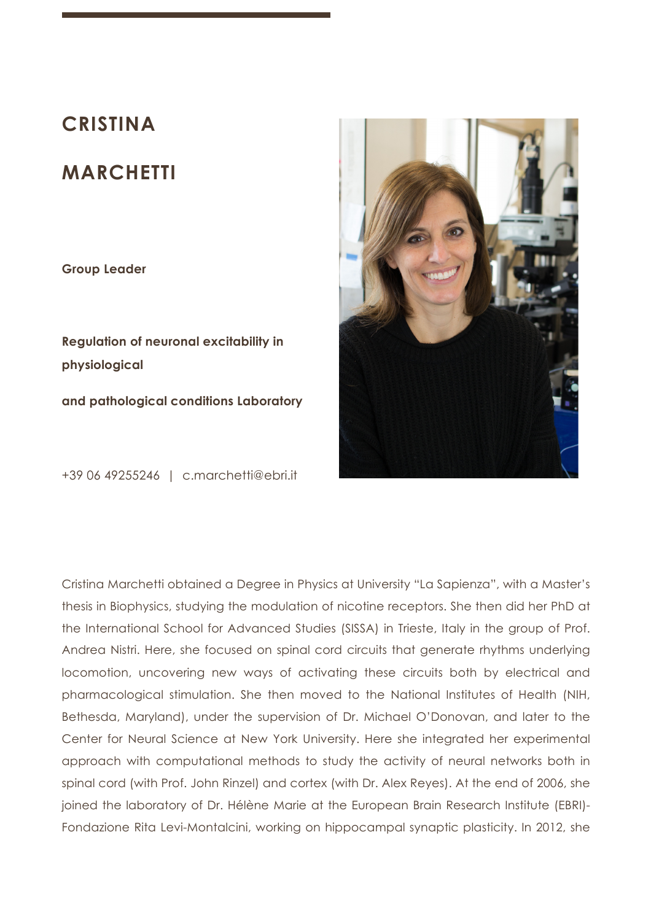# **CRISTINA**

# **MARCHETTI**

**Group Leader** 

**Regulation of neuronal excitability in physiological and pathological conditions Laboratory**

+39 06 49255246 | c.marchetti@ebri.it



Cristina Marchetti obtained a Degree in Physics at University "La Sapienza", with a Master's thesis in Biophysics, studying the modulation of nicotine receptors. She then did her PhD at the International School for Advanced Studies (SISSA) in Trieste, Italy in the group of Prof. Andrea Nistri. Here, she focused on spinal cord circuits that generate rhythms underlying locomotion, uncovering new ways of activating these circuits both by electrical and pharmacological stimulation. She then moved to the National Institutes of Health (NIH, Bethesda, Maryland), under the supervision of Dr. Michael O'Donovan, and later to the Center for Neural Science at New York University. Here she integrated her experimental approach with computational methods to study the activity of neural networks both in spinal cord (with Prof. John Rinzel) and cortex (with Dr. Alex Reyes). At the end of 2006, she joined the laboratory of Dr. Hélène Marie at the European Brain Research Institute (EBRI)- Fondazione Rita Levi-Montalcini, working on hippocampal synaptic plasticity. In 2012, she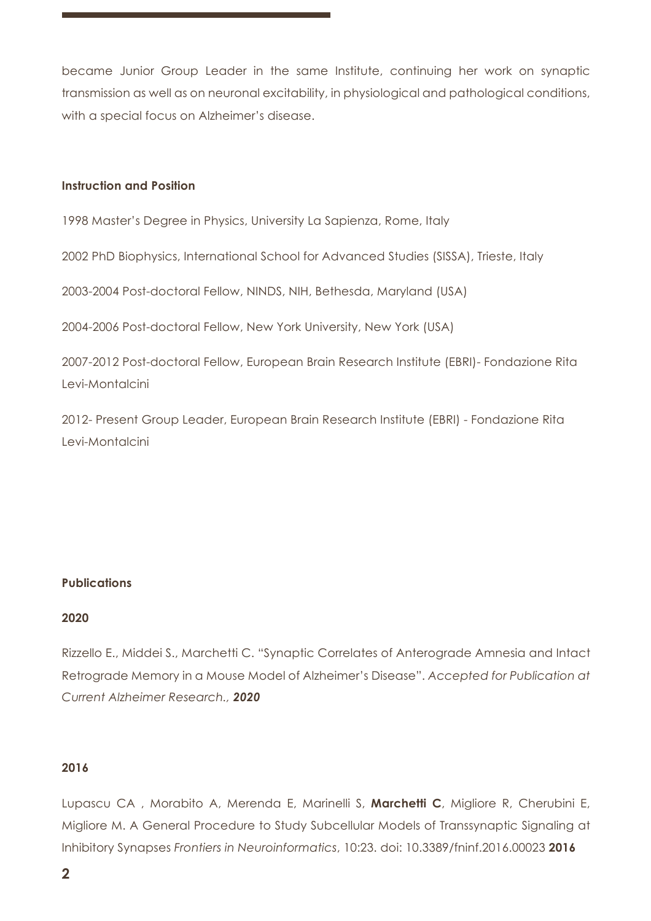became Junior Group Leader in the same Institute, continuing her work on synaptic transmission as well as on neuronal excitability, in physiological and pathological conditions, with a special focus on Alzheimer's disease.

# **Instruction and Position**

1998 Master's Degree in Physics, University La Sapienza, Rome, Italy

2002 PhD Biophysics, International School for Advanced Studies (SISSA), Trieste, Italy

2003-2004 Post-doctoral Fellow, NINDS, NIH, Bethesda, Maryland (USA)

2004-2006 Post-doctoral Fellow, New York University, New York (USA)

2007-2012 Post-doctoral Fellow, European Brain Research Institute (EBRI)- Fondazione Rita Levi-Montalcini

2012- Present Group Leader, European Brain Research Institute (EBRI) - Fondazione Rita Levi-Montalcini

# **Publications**

#### **2020**

Rizzello E., Middei S., Marchetti C. "Synaptic Correlates of Anterograde Amnesia and Intact Retrograde Memory in a Mouse Model of Alzheimer's Disease". *Accepted for Publication at Current Alzheimer Research., 2020*

# **2016**

Lupascu CA , Morabito A, Merenda E, Marinelli S, **Marchetti C**, Migliore R, Cherubini E, Migliore M. A General Procedure to Study Subcellular Models of Transsynaptic Signaling at Inhibitory Synapses *Frontiers in Neuroinformatics*, 10:23. doi: 10.3389/fninf.2016.00023 **2016**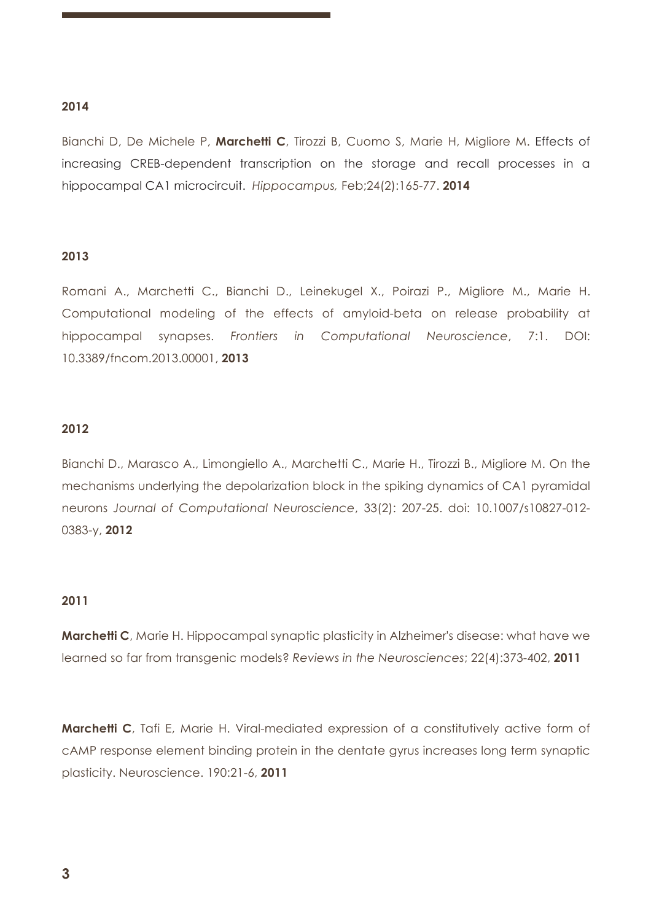# **2014**

Bianchi D, De Michele P, **Marchetti C**, Tirozzi B, Cuomo S, Marie H, Migliore M. Effects of increasing CREB-dependent transcription on the storage and recall processes in a hippocampal CA1 microcircuit. *Hippocampus,* Feb;24(2):165-77. **2014**

#### **2013**

Romani A., Marchetti C., Bianchi D., Leinekugel X., Poirazi P., Migliore M., Marie H. Computational modeling of the effects of amyloid-beta on release probability at hippocampal synapses. *Frontiers in Computational Neuroscience*, 7:1. DOI: 10.3389/fncom.2013.00001, **2013**

#### **2012**

Bianchi D., Marasco A., Limongiello A., Marchetti C., Marie H., Tirozzi B., Migliore M. On the mechanisms underlying the depolarization block in the spiking dynamics of CA1 pyramidal neurons *Journal of Computational Neuroscience*, 33(2): 207-25. doi: 10.1007/s10827-012- 0383-y, **2012**

#### **2011**

**Marchetti C**, Marie H. Hippocampal synaptic plasticity in Alzheimer's disease: what have we learned so far from transgenic models? *Reviews in the Neurosciences*; 22(4):373-402, **2011**

**Marchetti C**, Tafi E, Marie H. Viral-mediated expression of a constitutively active form of cAMP response element binding protein in the dentate gyrus increases long term synaptic plasticity. Neuroscience. 190:21-6, **2011**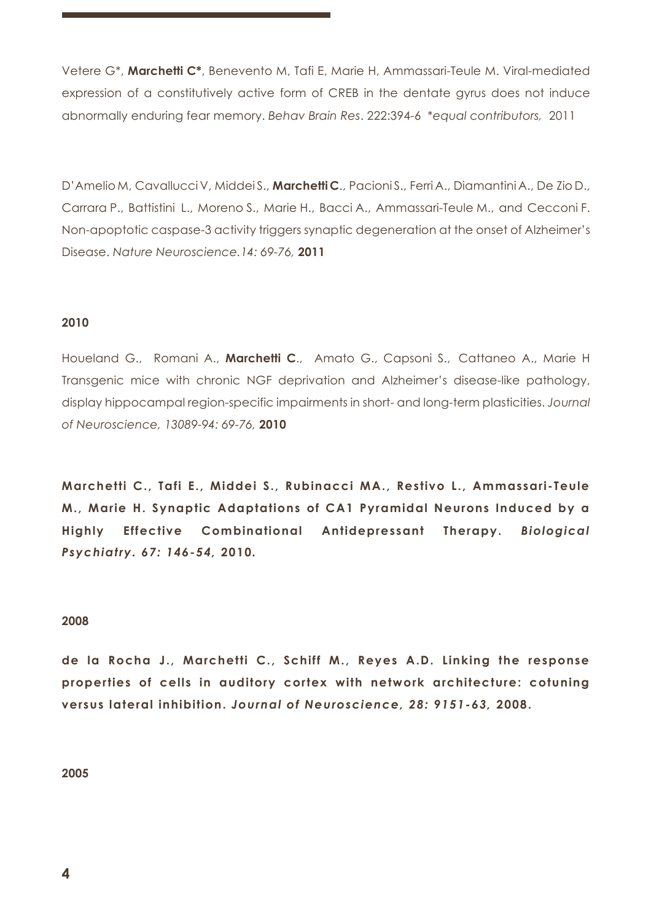Vetere G\*, **Marchetti C\***, Benevento M, Tafi E, Marie H, Ammassari-Teule M. Viral-mediated expression of a constitutively active form of CREB in the dentate gyrus does not induce abnormally enduring fear memory. *Behav Brain Res*. 222:394-6 \**equal contributors,* 2011

D'Amelio M, Cavallucci V, Middei S., **Marchetti C**., Pacioni S., Ferri A., Diamantini A., De Zio D., Carrara P., Battistini L., Moreno S., Marie H., Bacci A., Ammassari-Teule M., and Cecconi F. Non-apoptotic caspase-3 activity triggers synaptic degeneration at the onset of Alzheimer's Disease. *Nature Neuroscience.14: 69-76,* **2011**

## **2010**

Houeland G., Romani A., **Marchetti C**., Amato G., Capsoni S., Cattaneo A., Marie H Transgenic mice with chronic NGF deprivation and Alzheimer's disease-like pathology, display hippocampal region-specific impairments in short- and long-term plasticities. *Journal of Neuroscience, 13089-94: 69-76,* **2010**

**Marchetti C., Tafi E., Middei S., Rubinacci MA., Restivo L., Ammassari-Teule M., Marie H. Synaptic Adaptations of CA1 Pyramidal Neurons Induced by a Highly Effective Combinational Antidepressant Therapy.** *Biological Psychiatry. 67: 146-54,* **2010***.*

#### **2008**

**de la Rocha J., Marchetti C., Schiff M., Reyes A.D. Linking the response properties of cells in auditory cortex with network architecture: cotuning versus lateral inhibition.** *Journal of Neuroscience, 28: 9151-63,* **2008.**

**2005**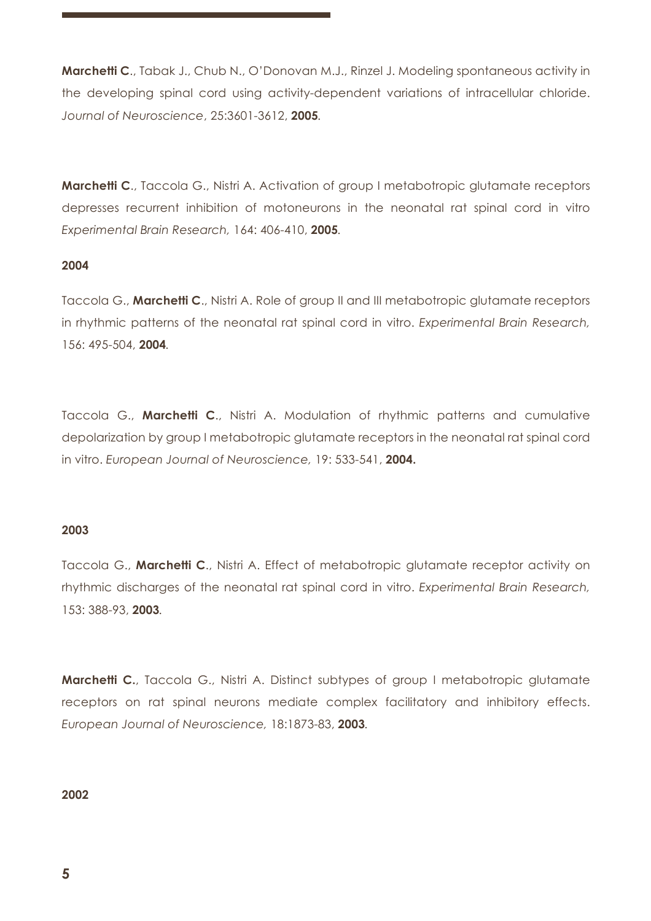**Marchetti C**., Tabak J., Chub N., O'Donovan M.J., Rinzel J. Modeling spontaneous activity in the developing spinal cord using activity-dependent variations of intracellular chloride. *Journal of Neuroscience*, 25:3601-3612, **2005***.*

**Marchetti C.**, Taccola G., Nistri A. Activation of group I metabotropic glutamate receptors depresses recurrent inhibition of motoneurons in the neonatal rat spinal cord in vitro *Experimental Brain Research,* 164: 406-410, **2005***.*

## **2004**

Taccola G., **Marchetti C**., Nistri A. Role of group II and III metabotropic glutamate receptors in rhythmic patterns of the neonatal rat spinal cord in vitro. *Experimental Brain Research,*  156: 495-504, **2004***.*

Taccola G., **Marchetti C**., Nistri A. Modulation of rhythmic patterns and cumulative depolarization by group I metabotropic glutamate receptors in the neonatal rat spinal cord in vitro. *European Journal of Neuroscience,* 19: 533-541, **2004.**

#### **2003**

Taccola G., **Marchetti C**., Nistri A. Effect of metabotropic glutamate receptor activity on rhythmic discharges of the neonatal rat spinal cord in vitro. *Experimental Brain Research,* 153: 388-93, **2003***.*

**Marchetti C.**, Taccola G., Nistri A. Distinct subtypes of group I metabotropic glutamate receptors on rat spinal neurons mediate complex facilitatory and inhibitory effects. *European Journal of Neuroscience,* 18:1873-83, **2003***.*

#### **2002**